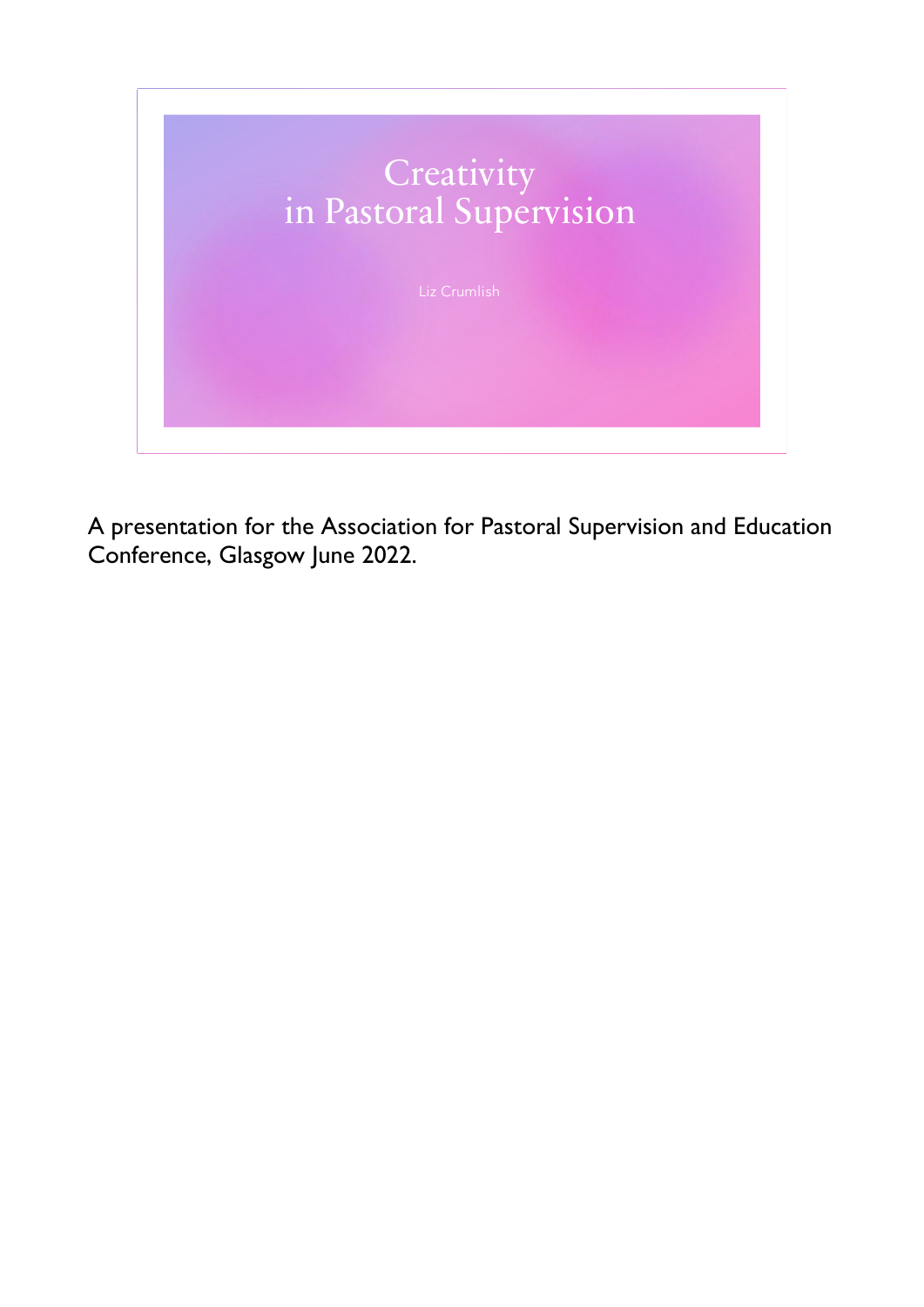

A presentation for the Association for Pastoral Supervision and Education Conference, Glasgow June 2022.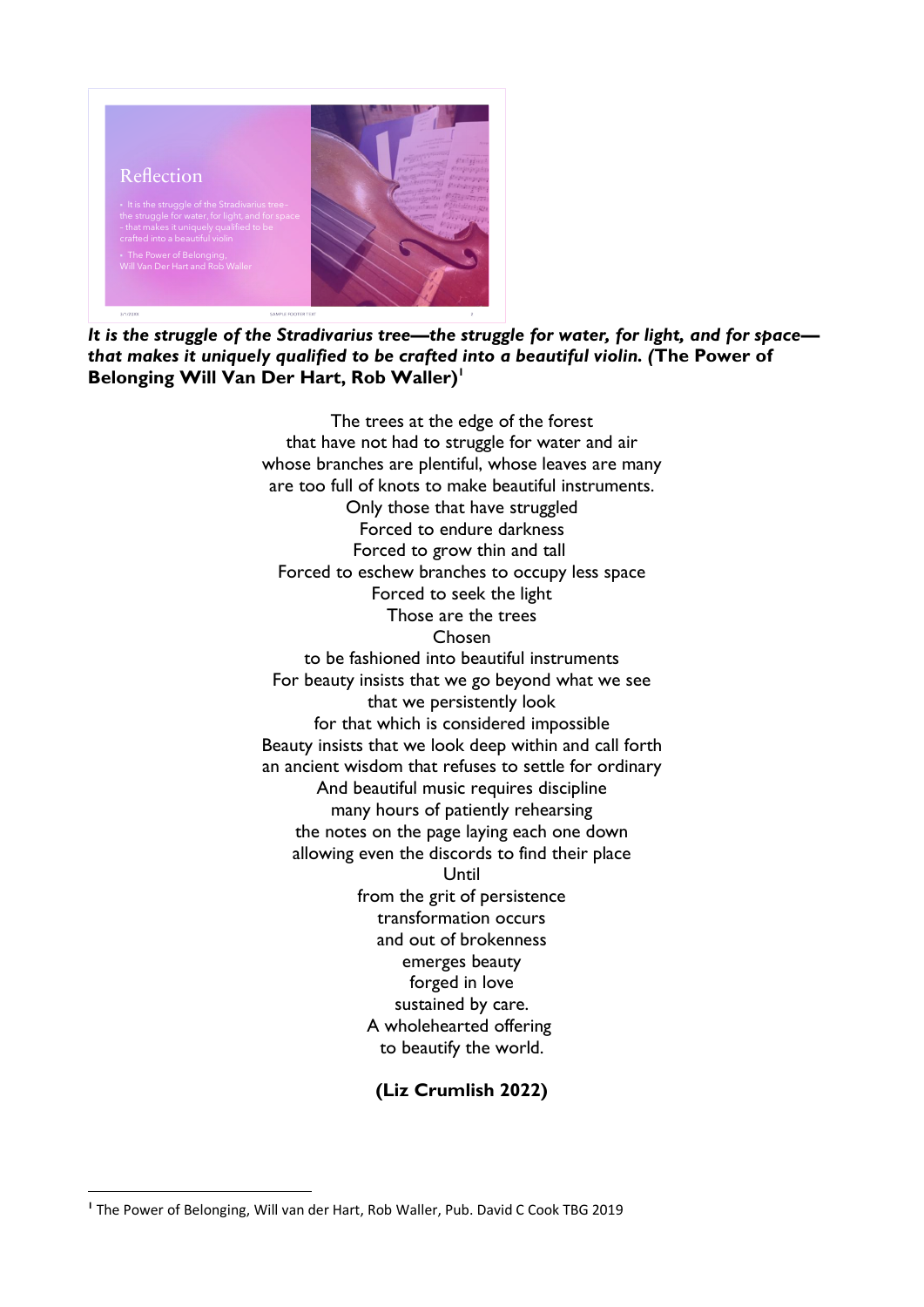

It is the struggle of the Stradivarius tree-the struggle for water, for light, and for space*that makes it uniquely qualified to be crafted into a beautiful violin. (***The Power of Belonging Will Van Der Hart, Rob Waller)<sup>1</sup>**

> The trees at the edge of the forest that have not had to struggle for water and air whose branches are plentiful, whose leaves are many are too full of knots to make beautiful instruments. Only those that have struggled Forced to endure darkness Forced to grow thin and tall Forced to eschew branches to occupy less space Forced to seek the light Those are the trees Chosen to be fashioned into beautiful instruments For beauty insists that we go beyond what we see that we persistently look for that which is considered impossible Beauty insists that we look deep within and call forth an ancient wisdom that refuses to settle for ordinary And beautiful music requires discipline many hours of patiently rehearsing the notes on the page laying each one down allowing even the discords to find their place Until from the grit of persistence transformation occurs and out of brokenness emerges beauty forged in love sustained by care. A wholehearted offering to beautify the world.

## **(Liz Crumlish 2022)**

**<sup>1</sup>** The Power of Belonging, Will van der Hart, Rob Waller, Pub. David C Cook TBG 2019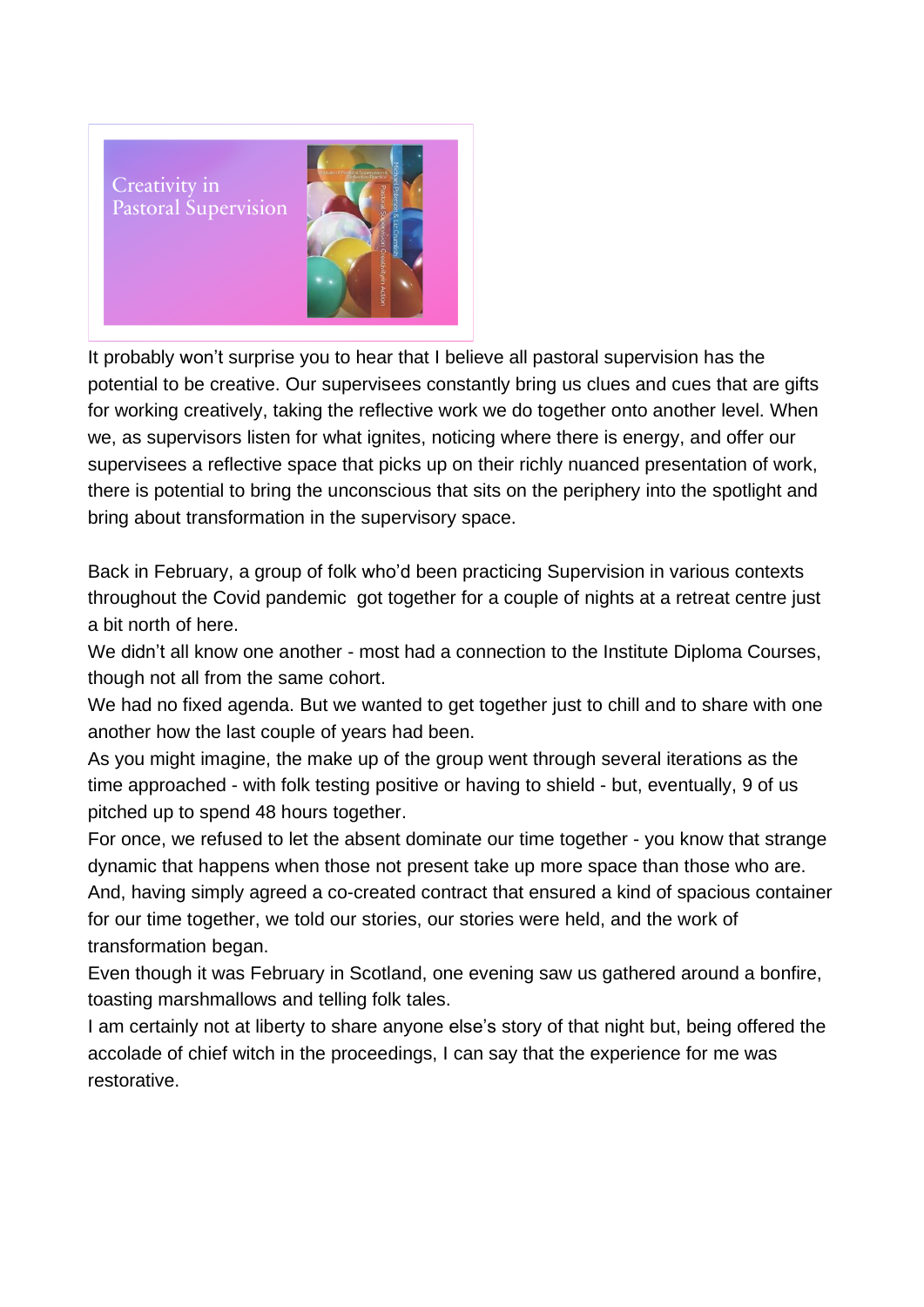Creativity in **Pastoral Supervision** 



It probably won't surprise you to hear that I believe all pastoral supervision has the potential to be creative. Our supervisees constantly bring us clues and cues that are gifts for working creatively, taking the reflective work we do together onto another level. When we, as supervisors listen for what ignites, noticing where there is energy, and offer our supervisees a reflective space that picks up on their richly nuanced presentation of work, there is potential to bring the unconscious that sits on the periphery into the spotlight and bring about transformation in the supervisory space.

Back in February, a group of folk who'd been practicing Supervision in various contexts throughout the Covid pandemic got together for a couple of nights at a retreat centre just a bit north of here.

We didn't all know one another - most had a connection to the Institute Diploma Courses, though not all from the same cohort.

We had no fixed agenda. But we wanted to get together just to chill and to share with one another how the last couple of years had been.

As you might imagine, the make up of the group went through several iterations as the time approached - with folk testing positive or having to shield - but, eventually, 9 of us pitched up to spend 48 hours together.

For once, we refused to let the absent dominate our time together - you know that strange dynamic that happens when those not present take up more space than those who are. And, having simply agreed a co-created contract that ensured a kind of spacious container for our time together, we told our stories, our stories were held, and the work of transformation began.

Even though it was February in Scotland, one evening saw us gathered around a bonfire, toasting marshmallows and telling folk tales.

I am certainly not at liberty to share anyone else's story of that night but, being offered the accolade of chief witch in the proceedings, I can say that the experience for me was restorative.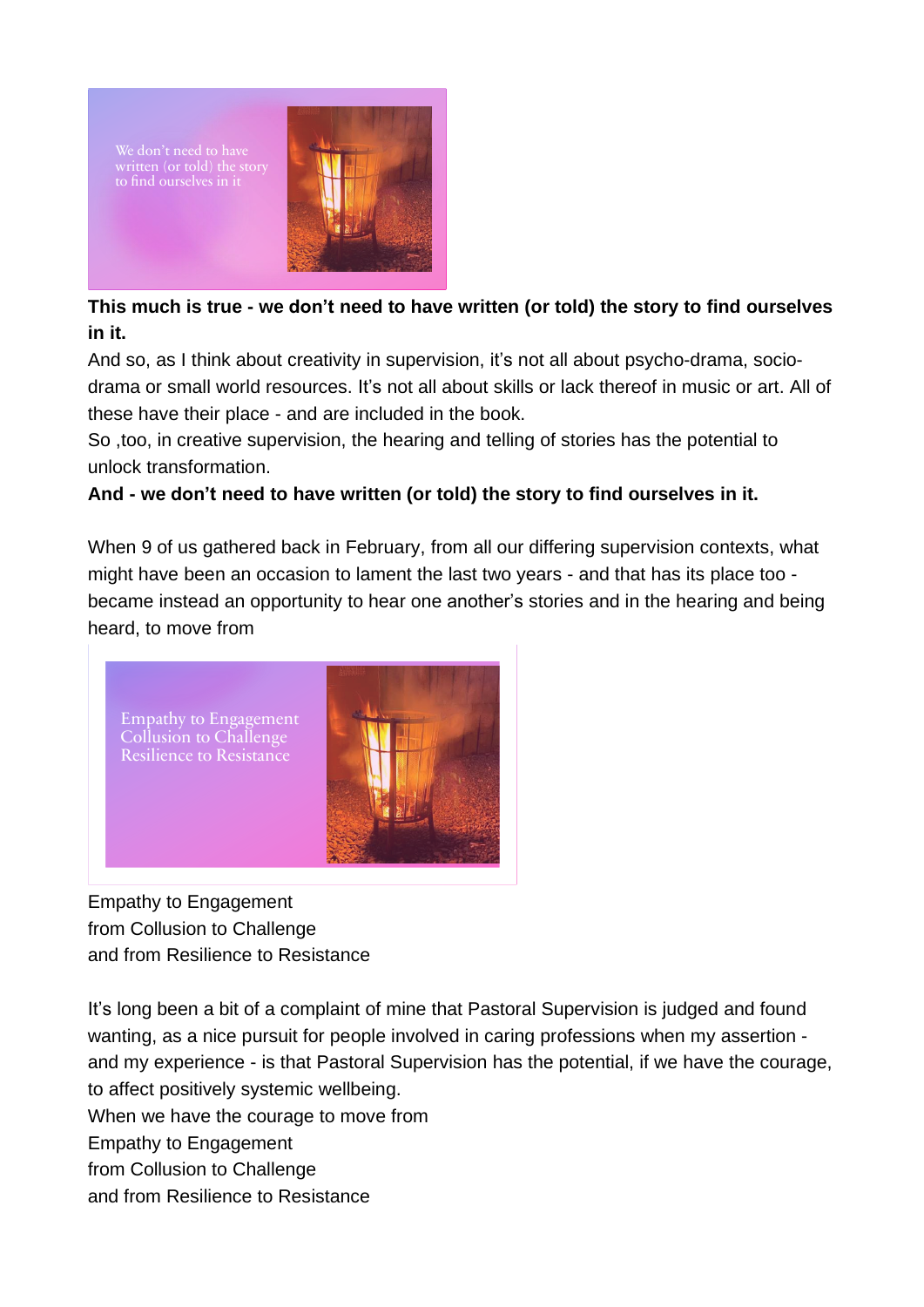

# **This much is true - we don't need to have written (or told) the story to find ourselves in it.**

And so, as I think about creativity in supervision, it's not all about psycho-drama, sociodrama or small world resources. It's not all about skills or lack thereof in music or art. All of these have their place - and are included in the book.

So ,too, in creative supervision, the hearing and telling of stories has the potential to unlock transformation.

## **And - we don't need to have written (or told) the story to find ourselves in it.**

When 9 of us gathered back in February, from all our differing supervision contexts, what might have been an occasion to lament the last two years - and that has its place too became instead an opportunity to hear one another's stories and in the hearing and being heard, to move from



Empathy to Engagement from Collusion to Challenge and from Resilience to Resistance

It's long been a bit of a complaint of mine that Pastoral Supervision is judged and found wanting, as a nice pursuit for people involved in caring professions when my assertion and my experience - is that Pastoral Supervision has the potential, if we have the courage, to affect positively systemic wellbeing. When we have the courage to move from

Empathy to Engagement

from Collusion to Challenge

and from Resilience to Resistance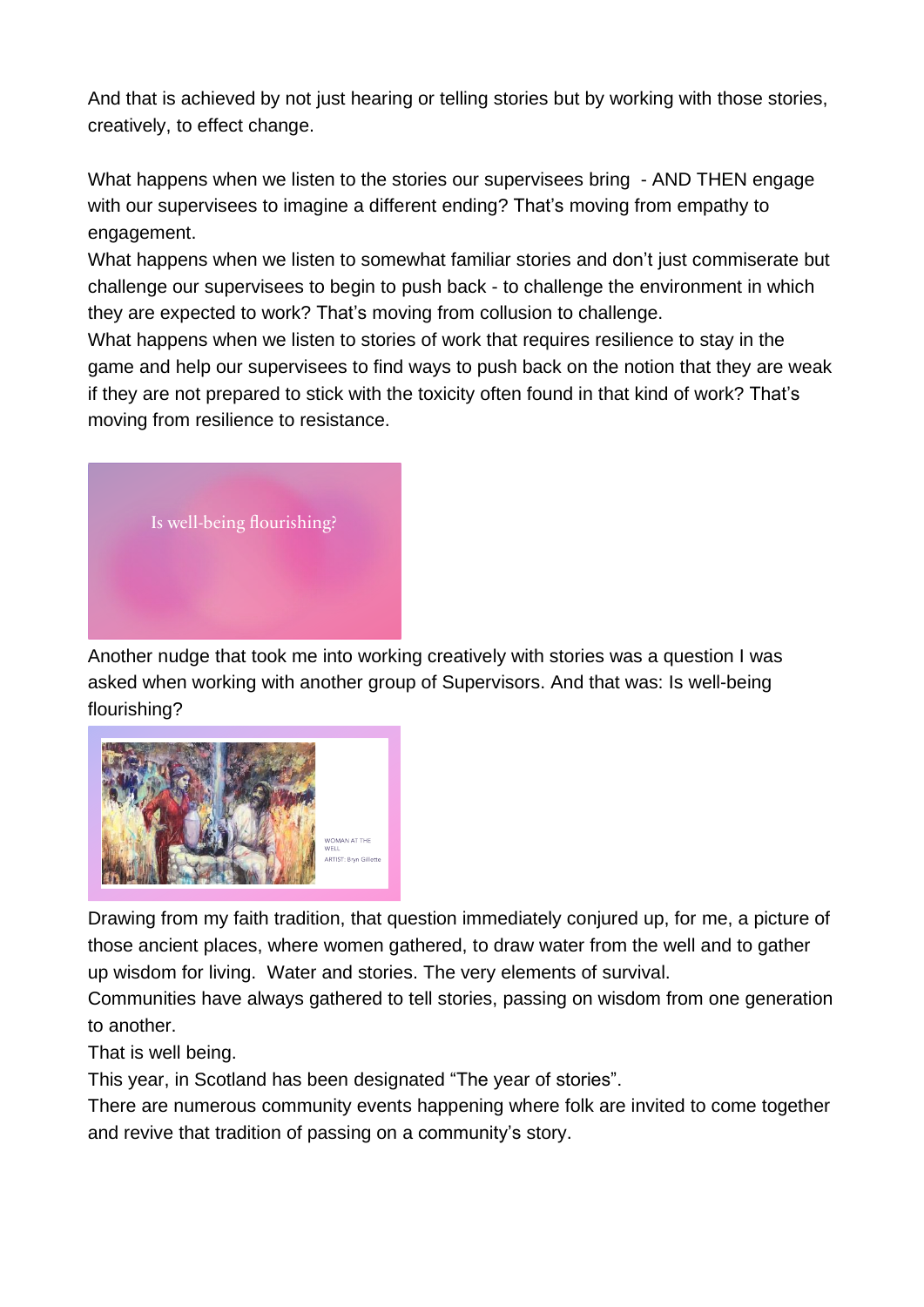And that is achieved by not just hearing or telling stories but by working with those stories, creatively, to effect change.

What happens when we listen to the stories our supervisees bring - AND THEN engage with our supervisees to imagine a different ending? That's moving from empathy to engagement.

What happens when we listen to somewhat familiar stories and don't just commiserate but challenge our supervisees to begin to push back - to challenge the environment in which they are expected to work? That's moving from collusion to challenge.

What happens when we listen to stories of work that requires resilience to stay in the game and help our supervisees to find ways to push back on the notion that they are weak if they are not prepared to stick with the toxicity often found in that kind of work? That's moving from resilience to resistance.



Another nudge that took me into working creatively with stories was a question I was asked when working with another group of Supervisors. And that was: Is well-being flourishing?



Drawing from my faith tradition, that question immediately conjured up, for me, a picture of those ancient places, where women gathered, to draw water from the well and to gather up wisdom for living. Water and stories. The very elements of survival.

Communities have always gathered to tell stories, passing on wisdom from one generation to another.

That is well being.

This year, in Scotland has been designated "The year of stories".

There are numerous community events happening where folk are invited to come together and revive that tradition of passing on a community's story.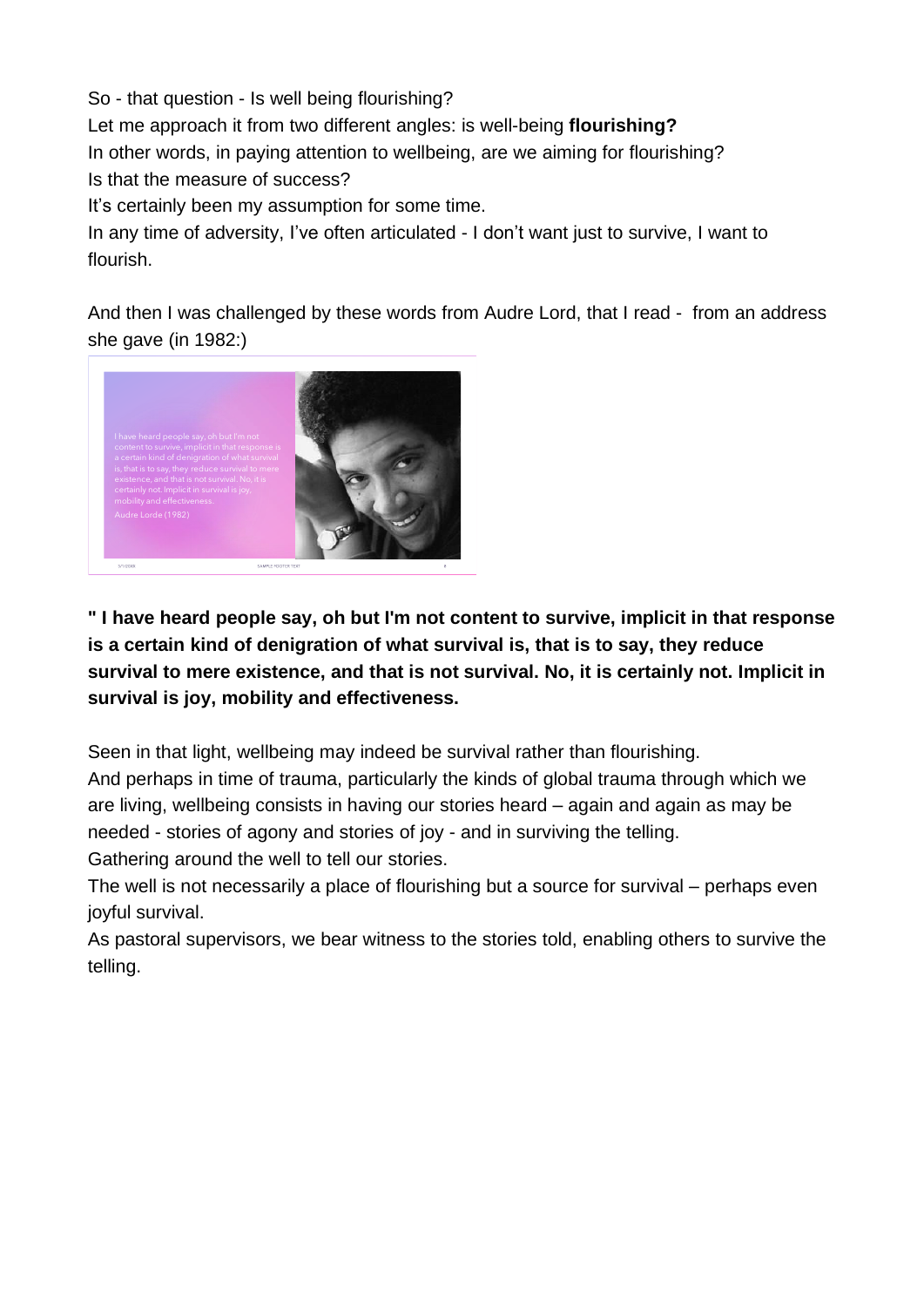So - that question - Is well being flourishing? Let me approach it from two different angles: is well-being **flourishing?** In other words, in paying attention to wellbeing, are we aiming for flourishing? Is that the measure of success? It's certainly been my assumption for some time.

In any time of adversity, I've often articulated - I don't want just to survive, I want to flourish.

And then I was challenged by these words from Audre Lord, that I read - from an address she gave (in 1982:)



**" I have heard people say, oh but I'm not content to survive, implicit in that response is a certain kind of denigration of what survival is, that is to say, they reduce survival to mere existence, and that is not survival. No, it is certainly not. Implicit in survival is joy, mobility and effectiveness.**

Seen in that light, wellbeing may indeed be survival rather than flourishing. And perhaps in time of trauma, particularly the kinds of global trauma through which we are living, wellbeing consists in having our stories heard – again and again as may be needed - stories of agony and stories of joy - and in surviving the telling.

Gathering around the well to tell our stories.

The well is not necessarily a place of flourishing but a source for survival – perhaps even joyful survival.

As pastoral supervisors, we bear witness to the stories told, enabling others to survive the telling.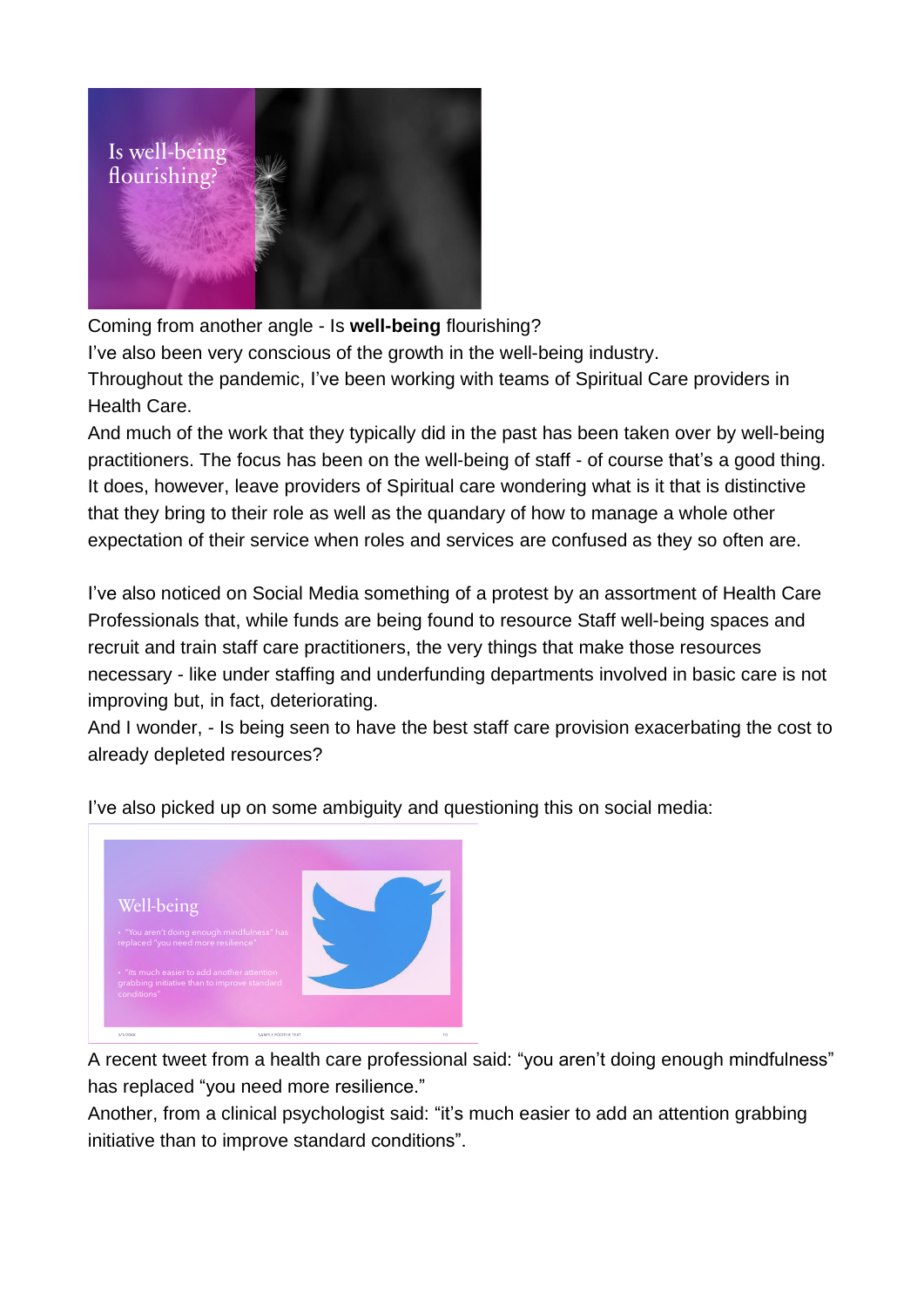

Coming from another angle - Is **well-being** flourishing?

I've also been very conscious of the growth in the well-being industry.

Throughout the pandemic, I've been working with teams of Spiritual Care providers in Health Care.

And much of the work that they typically did in the past has been taken over by well-being practitioners. The focus has been on the well-being of staff - of course that's a good thing. It does, however, leave providers of Spiritual care wondering what is it that is distinctive that they bring to their role as well as the quandary of how to manage a whole other expectation of their service when roles and services are confused as they so often are.

I've also noticed on Social Media something of a protest by an assortment of Health Care Professionals that, while funds are being found to resource Staff well-being spaces and recruit and train staff care practitioners, the very things that make those resources necessary - like under staffing and underfunding departments involved in basic care is not improving but, in fact, deteriorating.

And I wonder, - Is being seen to have the best staff care provision exacerbating the cost to already depleted resources?



I've also picked up on some ambiguity and questioning this on social media:

A recent tweet from a health care professional said: "you aren't doing enough mindfulness" has replaced "you need more resilience."

Another, from a clinical psychologist said: "it's much easier to add an attention grabbing initiative than to improve standard conditions".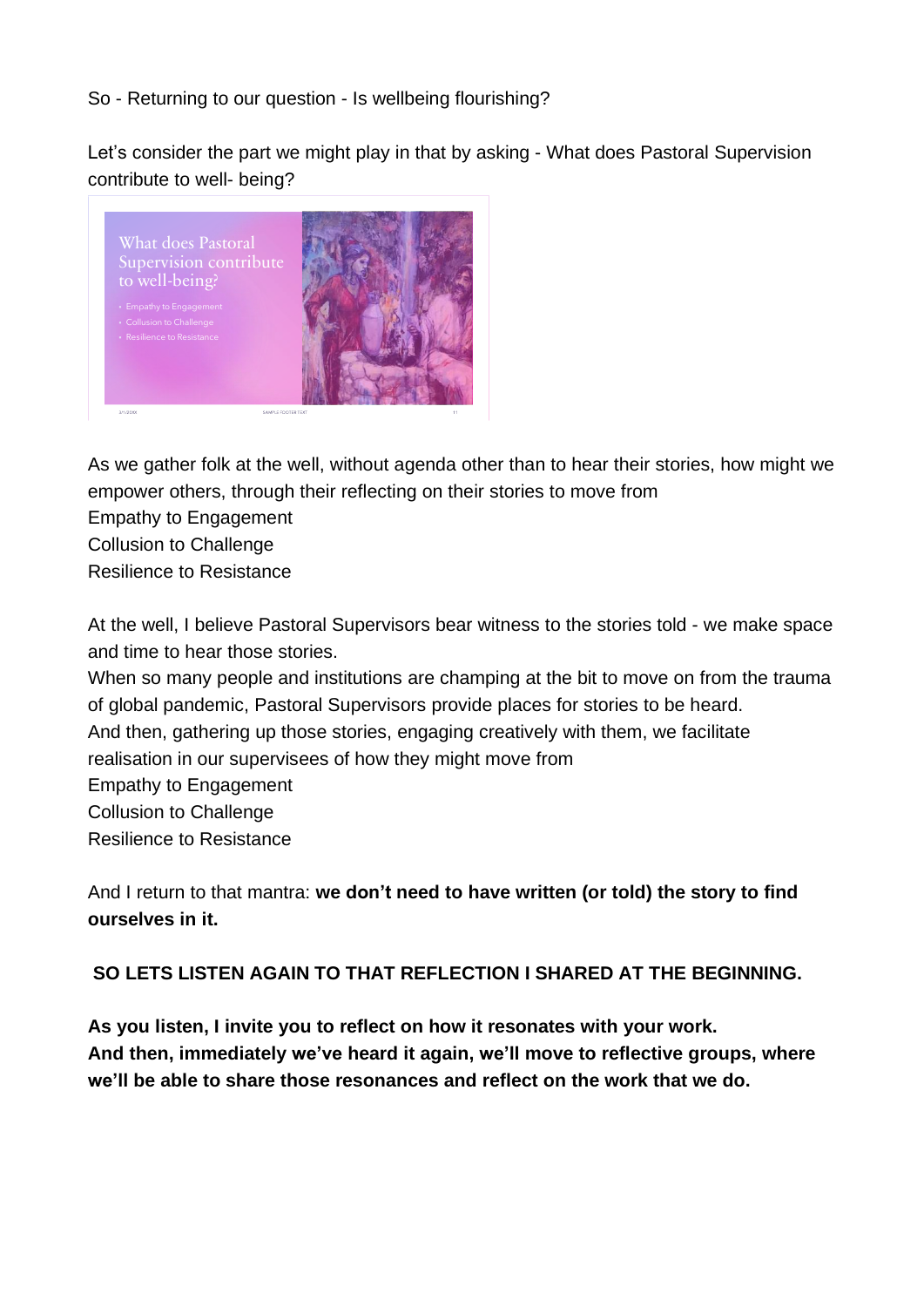## So - Returning to our question - Is wellbeing flourishing?

Let's consider the part we might play in that by asking - What does Pastoral Supervision contribute to well- being?



As we gather folk at the well, without agenda other than to hear their stories, how might we empower others, through their reflecting on their stories to move from

Empathy to Engagement

Collusion to Challenge

Resilience to Resistance

At the well, I believe Pastoral Supervisors bear witness to the stories told - we make space and time to hear those stories.

When so many people and institutions are champing at the bit to move on from the trauma of global pandemic, Pastoral Supervisors provide places for stories to be heard.

And then, gathering up those stories, engaging creatively with them, we facilitate

realisation in our supervisees of how they might move from

Empathy to Engagement

Collusion to Challenge

Resilience to Resistance

And I return to that mantra: **we don't need to have written (or told) the story to find ourselves in it.**

# **SO LETS LISTEN AGAIN TO THAT REFLECTION I SHARED AT THE BEGINNING.**

**As you listen, I invite you to reflect on how it resonates with your work. And then, immediately we've heard it again, we'll move to reflective groups, where we'll be able to share those resonances and reflect on the work that we do.**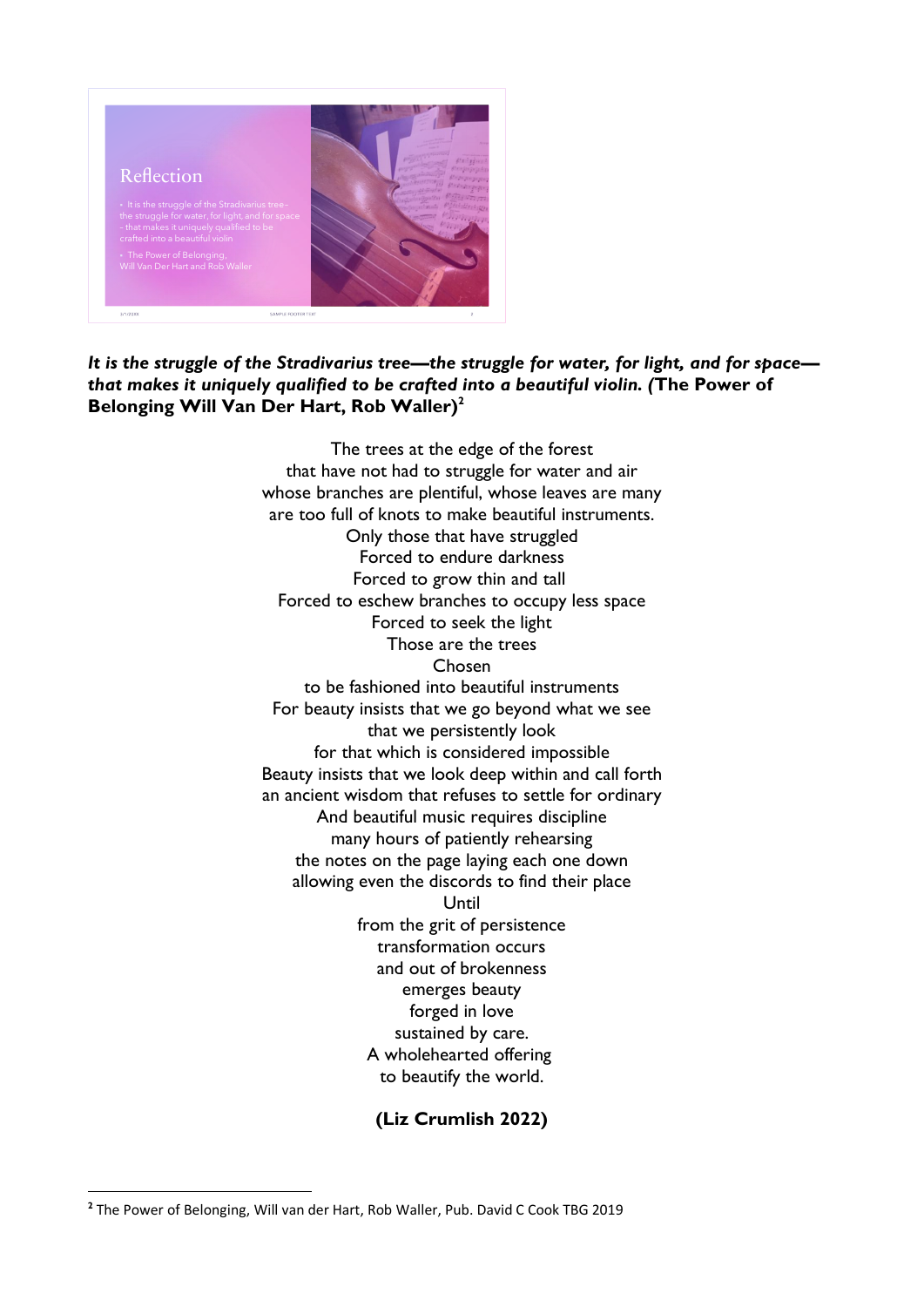

#### It is the struggle of the Stradivarius tree-the struggle for water, for light, and for space*that makes it uniquely qualified to be crafted into a beautiful violin. (***The Power of Belonging Will Van Der Hart, Rob Waller)<sup>2</sup>**

The trees at the edge of the forest that have not had to struggle for water and air whose branches are plentiful, whose leaves are many are too full of knots to make beautiful instruments. Only those that have struggled Forced to endure darkness Forced to grow thin and tall Forced to eschew branches to occupy less space Forced to seek the light Those are the trees Chosen to be fashioned into beautiful instruments For beauty insists that we go beyond what we see that we persistently look for that which is considered impossible Beauty insists that we look deep within and call forth an ancient wisdom that refuses to settle for ordinary And beautiful music requires discipline many hours of patiently rehearsing the notes on the page laying each one down allowing even the discords to find their place Until from the grit of persistence transformation occurs and out of brokenness emerges beauty forged in love sustained by care. A wholehearted offering to beautify the world.

#### **(Liz Crumlish 2022)**

**<sup>2</sup>** The Power of Belonging, Will van der Hart, Rob Waller, Pub. David C Cook TBG 2019